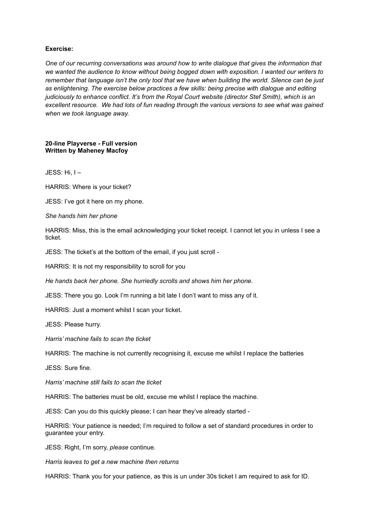### **Exercise:**

*One of our recurring conversations was around how to write dialogue that gives the information that we wanted the audience to know without being bogged down with exposition. I wanted our writers to* remember that language isn't the only tool that we have when building the world. Silence can be just *as enlightening. The exercise below practices a few skills: being precise with dialogue and editing judiciously to enhance conflict. It's from the Royal Court website (director Stef Smith), which is an excellent resource. We had lots of fun reading through the various versions to see what was gained when we took language away.*

#### **20-line Playverse - Full version Written by Maheney Macfoy**

JESS: Hi, I –

HARRIS: Where is your ticket?

JESS: I've got it here on my phone.

#### *She hands him her phone*

HARRIS: Miss, this is the email acknowledging your ticket receipt. I cannot let you in unless I see a ticket.

JESS: The ticket's at the bottom of the email, if you just scroll -

HARRIS: It is not my responsibility to scroll for you

*He hands back her phone. She hurriedly scrolls and shows him her phone.*

JESS: There you go. Look I'm running a bit late I don't want to miss any of it.

HARRIS: Just a moment whilst I scan your ticket.

JESS: Please hurry.

*Harris' machine fails to scan the ticket*

HARRIS: The machine is not currently recognising it, excuse me whilst I replace the batteries

JESS: Sure fine.

*Harris' machine still fails to scan the ticket*

HARRIS: The batteries must be old, excuse me whilst I replace the machine.

JESS: Can you do this quickly please; I can hear they've already started -

HARRIS: Your patience is needed; I'm required to follow a set of standard procedures in order to guarantee your entry.

JESS: Right, I'm sorry, *please* continue.

*Harris leaves to get a new machine then returns*

HARRIS: Thank you for your patience, as this is un under 30s ticket I am required to ask for ID.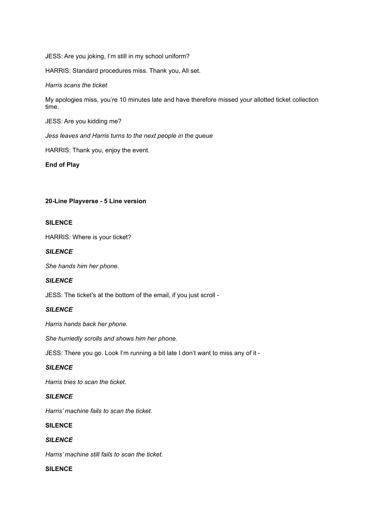JESS: Are you joking, I'm still in my school uniform?

HARRIS: Standard procedures miss. Thank you, All set.

### *Harris scans the ticket*

My apologies miss, you're 10 minutes late and have therefore missed your allotted ticket collection time.

JESS: Are you kidding me?

*Jess leaves and Harris turns to the next people in the queue*

HARRIS: Thank you, enjoy the event.

**End of Play**

## **20-Line Playverse - 5 Line version**

## **SILENCE**

HARRIS: Where is your ticket?

## *SILENCE*

*She hands him her phone.*

## *SILENCE*

JESS: The ticket's at the bottom of the email, if you just scroll -

### *SILENCE*

*Harris hands back her phone.*

*She hurriedly scrolls and shows him her phone.*

JESS: There you go. Look I'm running a bit late I don't want to miss any of it -

### *SILENCE*

*Harris tries to scan the ticket.*

# *SILENCE*

*Harris' machine fails to scan the ticket.*

## **SILENCE**

## *SILENCE*

*Harris' machine still fails to scan the ticket.*

## **SILENCE**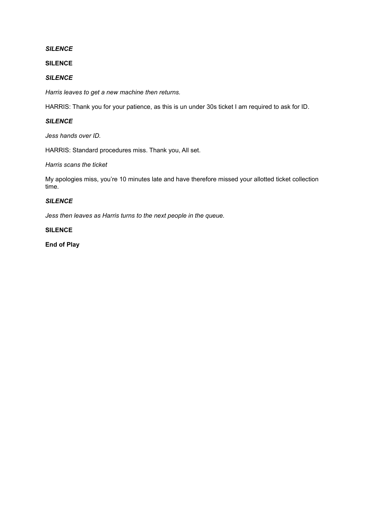## *SILENCE*

**SILENCE**

### *SILENCE*

*Harris leaves to get a new machine then returns.*

HARRIS: Thank you for your patience, as this is un under 30s ticket I am required to ask for ID.

# *SILENCE*

*Jess hands over ID.*

HARRIS: Standard procedures miss. Thank you, All set.

*Harris scans the ticket*

My apologies miss, you're 10 minutes late and have therefore missed your allotted ticket collection time.

## *SILENCE*

*Jess then leaves as Harris turns to the next people in the queue.*

### **SILENCE**

**End of Play**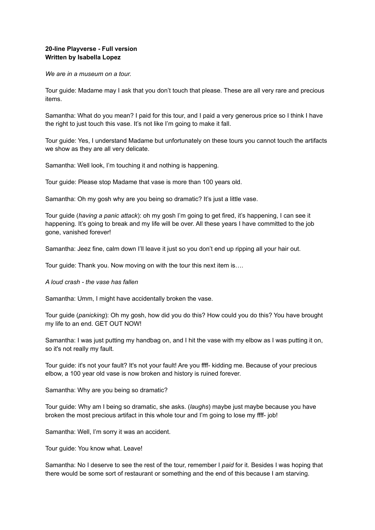## **20-line Playverse - Full version Written by Isabella Lopez**

*We are in a museum on a tour.*

Tour guide: Madame may I ask that you don't touch that please. These are all very rare and precious items.

Samantha: What do you mean? I paid for this tour, and I paid a very generous price so I think I have the right to just touch this vase. It's not like I'm going to make it fall.

Tour guide: Yes, I understand Madame but unfortunately on these tours you cannot touch the artifacts we show as they are all very delicate.

Samantha: Well look, I'm touching it and nothing is happening.

Tour guide: Please stop Madame that vase is more than 100 years old.

Samantha: Oh my gosh why are you being so dramatic? It's just a little vase.

Tour guide (*having a panic attack*): oh my gosh I'm going to get fired, it's happening, I can see it happening. It's going to break and my life will be over. All these years I have committed to the job gone, vanished forever!

Samantha: Jeez fine, calm down I'll leave it just so you don't end up ripping all your hair out.

Tour guide: Thank you. Now moving on with the tour this next item is….

*A loud crash - the vase has fallen*

Samantha: Umm, I might have accidentally broken the vase.

Tour guide (*panicking*): Oh my gosh, how did you do this? How could you do this? You have brought my life to an end. GET OUT NOW!

Samantha: I was just putting my handbag on, and I hit the vase with my elbow as I was putting it on, so it's not really my fault.

Tour guide: it's not your fault? It's not your fault! Are you ffff- kidding me. Because of your precious elbow, a 100 year old vase is now broken and history is ruined forever.

Samantha: Why are you being so dramatic?

Tour guide: Why am I being so dramatic, she asks. (*laughs*) maybe just maybe because you have broken the most precious artifact in this whole tour and I'm going to lose my ffff- job!

Samantha: Well, I'm sorry it was an accident.

Tour guide: You know what. Leave!

Samantha: No I deserve to see the rest of the tour, remember I *paid* for it. Besides I was hoping that there would be some sort of restaurant or something and the end of this because I am starving.